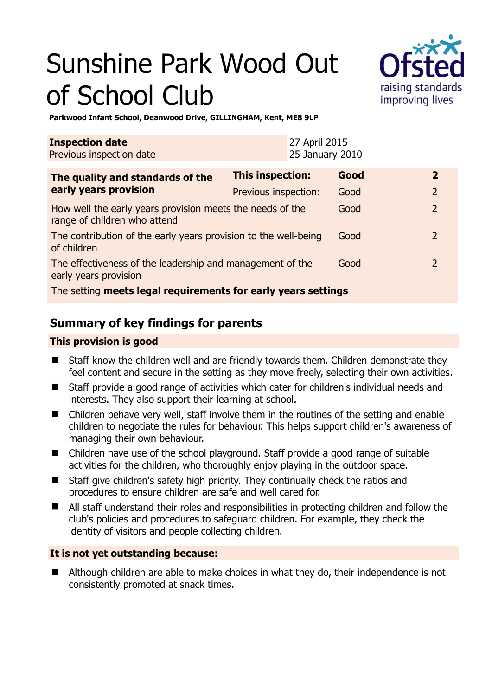# Sunshine Park Wood Out of School Club



**Parkwood Infant School, Deanwood Drive, GILLINGHAM, Kent, ME8 9LP** 

| <b>Inspection date</b><br>Previous inspection date                                        |                         | 27 April 2015<br>25 January 2010 |      |  |                |
|-------------------------------------------------------------------------------------------|-------------------------|----------------------------------|------|--|----------------|
| The quality and standards of the<br>early years provision                                 | <b>This inspection:</b> |                                  | Good |  | $\overline{2}$ |
|                                                                                           | Previous inspection:    |                                  | Good |  | 2              |
| How well the early years provision meets the needs of the<br>range of children who attend |                         |                                  | Good |  | $\overline{2}$ |
| The contribution of the early years provision to the well-being<br>of children            |                         |                                  | Good |  | $\mathcal{L}$  |
| The effectiveness of the leadership and management of the<br>early years provision        |                         |                                  | Good |  | $\mathcal{L}$  |
| The setting meets legal requirements for early years settings                             |                         |                                  |      |  |                |

# **Summary of key findings for parents**

## **This provision is good**

- Staff know the children well and are friendly towards them. Children demonstrate they feel content and secure in the setting as they move freely, selecting their own activities.
- Staff provide a good range of activities which cater for children's individual needs and interests. They also support their learning at school.
- Children behave very well, staff involve them in the routines of the setting and enable children to negotiate the rules for behaviour. This helps support children's awareness of managing their own behaviour.
- Children have use of the school playground. Staff provide a good range of suitable activities for the children, who thoroughly enjoy playing in the outdoor space.
- Staff give children's safety high priority. They continually check the ratios and procedures to ensure children are safe and well cared for.
- All staff understand their roles and responsibilities in protecting children and follow the club's policies and procedures to safeguard children. For example, they check the identity of visitors and people collecting children.

## **It is not yet outstanding because:**

■ Although children are able to make choices in what they do, their independence is not consistently promoted at snack times.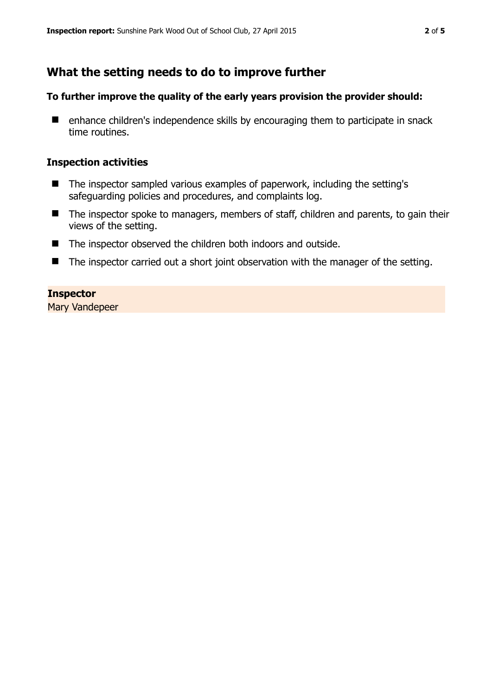# **What the setting needs to do to improve further**

## **To further improve the quality of the early years provision the provider should:**

■ enhance children's independence skills by encouraging them to participate in snack time routines.

#### **Inspection activities**

- The inspector sampled various examples of paperwork, including the setting's safeguarding policies and procedures, and complaints log.
- The inspector spoke to managers, members of staff, children and parents, to gain their views of the setting.
- The inspector observed the children both indoors and outside.
- The inspector carried out a short joint observation with the manager of the setting.

#### **Inspector**

Mary Vandepeer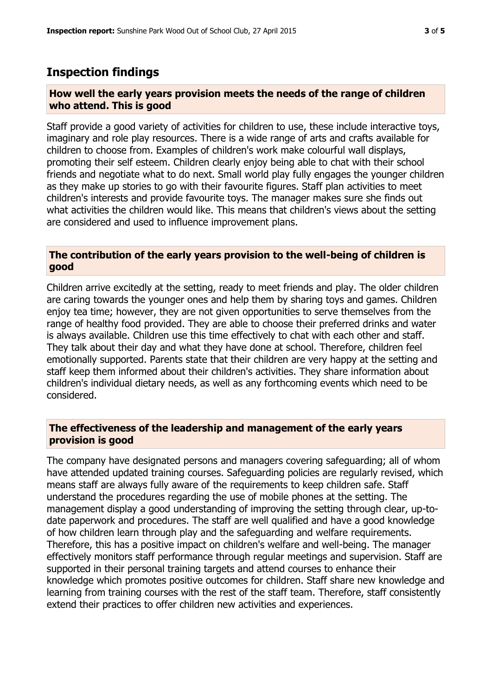# **Inspection findings**

#### **How well the early years provision meets the needs of the range of children who attend. This is good**

Staff provide a good variety of activities for children to use, these include interactive toys, imaginary and role play resources. There is a wide range of arts and crafts available for children to choose from. Examples of children's work make colourful wall displays, promoting their self esteem. Children clearly enjoy being able to chat with their school friends and negotiate what to do next. Small world play fully engages the younger children as they make up stories to go with their favourite figures. Staff plan activities to meet children's interests and provide favourite toys. The manager makes sure she finds out what activities the children would like. This means that children's views about the setting are considered and used to influence improvement plans.

## **The contribution of the early years provision to the well-being of children is good**

Children arrive excitedly at the setting, ready to meet friends and play. The older children are caring towards the younger ones and help them by sharing toys and games. Children enjoy tea time; however, they are not given opportunities to serve themselves from the range of healthy food provided. They are able to choose their preferred drinks and water is always available. Children use this time effectively to chat with each other and staff. They talk about their day and what they have done at school. Therefore, children feel emotionally supported. Parents state that their children are very happy at the setting and staff keep them informed about their children's activities. They share information about children's individual dietary needs, as well as any forthcoming events which need to be considered.

## **The effectiveness of the leadership and management of the early years provision is good**

The company have designated persons and managers covering safeguarding; all of whom have attended updated training courses. Safeguarding policies are regularly revised, which means staff are always fully aware of the requirements to keep children safe. Staff understand the procedures regarding the use of mobile phones at the setting. The management display a good understanding of improving the setting through clear, up-todate paperwork and procedures. The staff are well qualified and have a good knowledge of how children learn through play and the safeguarding and welfare requirements. Therefore, this has a positive impact on children's welfare and well-being. The manager effectively monitors staff performance through regular meetings and supervision. Staff are supported in their personal training targets and attend courses to enhance their knowledge which promotes positive outcomes for children. Staff share new knowledge and learning from training courses with the rest of the staff team. Therefore, staff consistently extend their practices to offer children new activities and experiences.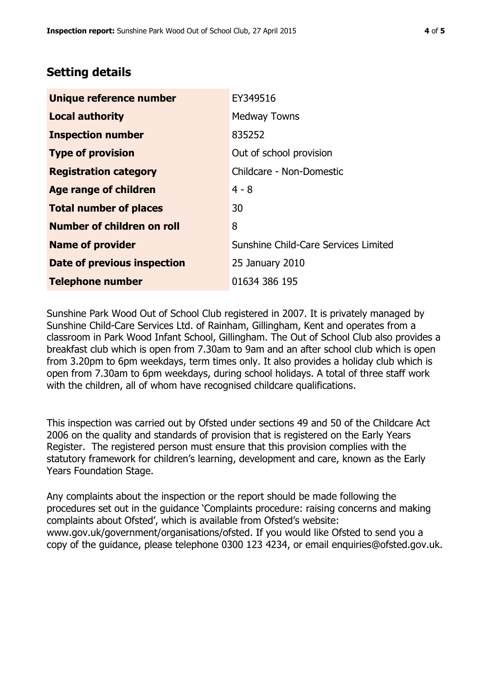# **Setting details**

| Unique reference number       | EY349516                             |  |
|-------------------------------|--------------------------------------|--|
| <b>Local authority</b>        | <b>Medway Towns</b>                  |  |
| <b>Inspection number</b>      | 835252                               |  |
| <b>Type of provision</b>      | Out of school provision              |  |
| <b>Registration category</b>  | Childcare - Non-Domestic             |  |
| <b>Age range of children</b>  | $4 - 8$                              |  |
| <b>Total number of places</b> | 30                                   |  |
| Number of children on roll    | 8                                    |  |
| <b>Name of provider</b>       | Sunshine Child-Care Services Limited |  |
| Date of previous inspection   | 25 January 2010                      |  |
| <b>Telephone number</b>       | 01634 386 195                        |  |

Sunshine Park Wood Out of School Club registered in 2007. It is privately managed by Sunshine Child-Care Services Ltd. of Rainham, Gillingham, Kent and operates from a classroom in Park Wood Infant School, Gillingham. The Out of School Club also provides a breakfast club which is open from 7.30am to 9am and an after school club which is open from 3.20pm to 6pm weekdays, term times only. It also provides a holiday club which is open from 7.30am to 6pm weekdays, during school holidays. A total of three staff work with the children, all of whom have recognised childcare qualifications.

This inspection was carried out by Ofsted under sections 49 and 50 of the Childcare Act 2006 on the quality and standards of provision that is registered on the Early Years Register. The registered person must ensure that this provision complies with the statutory framework for children's learning, development and care, known as the Early Years Foundation Stage.

Any complaints about the inspection or the report should be made following the procedures set out in the guidance 'Complaints procedure: raising concerns and making complaints about Ofsted', which is available from Ofsted's website: www.gov.uk/government/organisations/ofsted. If you would like Ofsted to send you a copy of the guidance, please telephone 0300 123 4234, or email enquiries@ofsted.gov.uk.